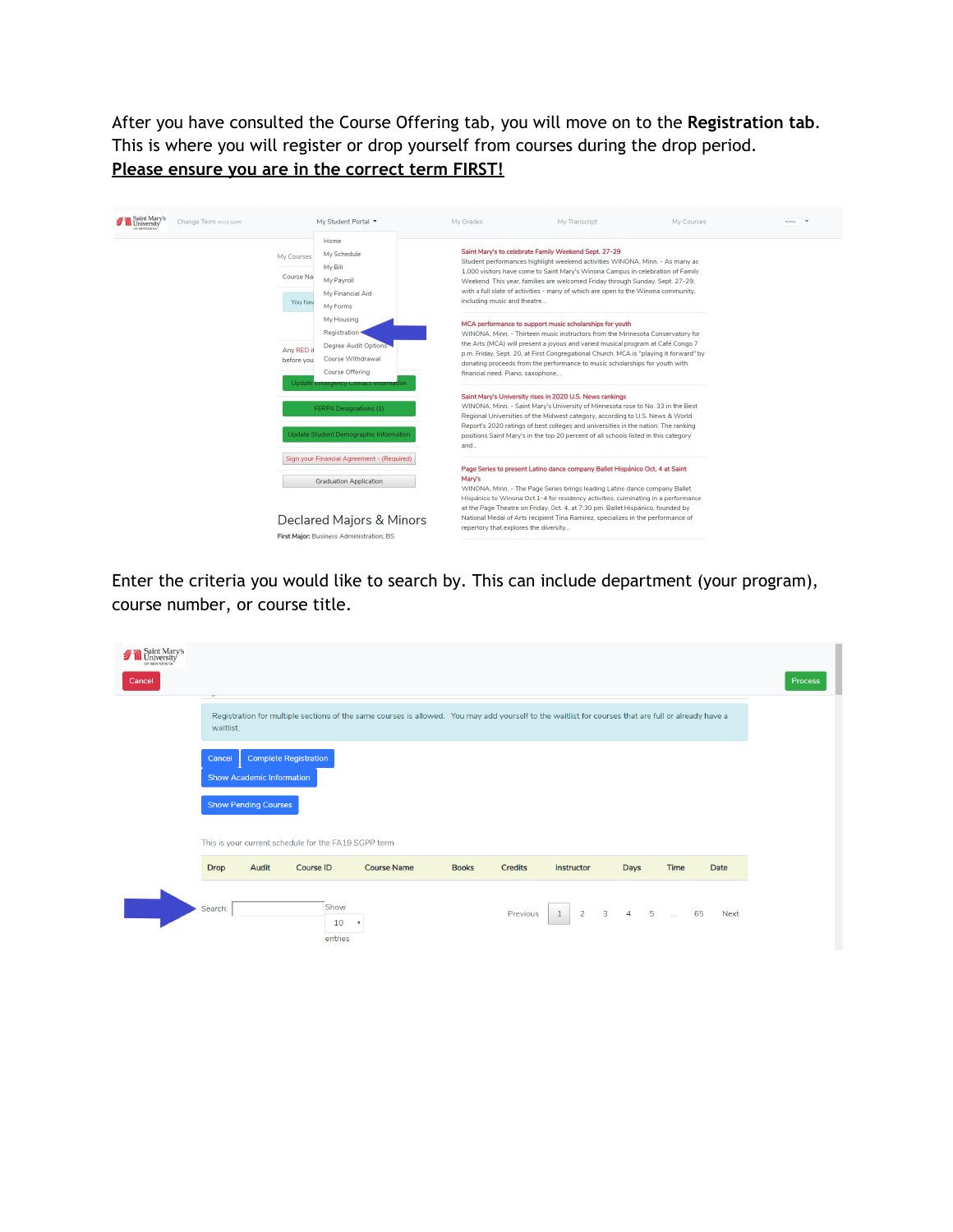After you have consulted the Course Offering tab, you will move on to the **Registration tab**. This is where you will register or drop yourself from courses during the drop period. **Please ensure you are in the correct term FIRST!**

| Saint Mary's<br>University<br>Change Term (FA19 SGPP)<br>OF MINNEROSA |                                    | My Student Portal ▼                                                                                                    | My Grades                             | My Transcript                                                                                                                                                                                                                                                                                                                                                                                             | My Courses | As Preto |
|-----------------------------------------------------------------------|------------------------------------|------------------------------------------------------------------------------------------------------------------------|---------------------------------------|-----------------------------------------------------------------------------------------------------------------------------------------------------------------------------------------------------------------------------------------------------------------------------------------------------------------------------------------------------------------------------------------------------------|------------|----------|
|                                                                       | My Courses<br>Course Na<br>You hav | Home<br>My Schedule<br>My Bill<br>My Payroll<br>My Financial Aid<br>My Forms                                           | including music and theatre           | Saint Mary's to celebrate Family Weekend Sept. 27-29<br>Student performances highlight weekend activities WINONA, Minn. - As many as<br>1,000 visitors have come to Saint Mary's Winona Campus in celebration of Family<br>Weekend. This year, families are welcomed Friday through Sunday, Sept. 27-29,<br>with a full slate of activities - many of which are open to the Winona community,             |            |          |
|                                                                       | Any RED it<br>before you           | My Housing<br>Registration ·<br>Degree Audit Options<br>Course Withdrawal<br>Course Offering                           | financial need. Piano, saxophone,     | MCA performance to support music scholarships for youth<br>WINONA, Minn. - Thirteen music instructors from the Minnesota Conservatory for<br>the Arts (MCA) will present a joyous and varied musical program at Café Congo 7<br>p.m. Friday, Sept. 20, at First Congregational Church. MCA is "playing it forward" by<br>donating proceeds from the performance to music scholarships for youth with      |            |          |
|                                                                       |                                    | Update <i>emergency</i> contact information<br><b>FERPA Designations (1)</b><br>Update Student Demographic Information | and                                   | Saint Mary's University rises in 2020 U.S. News rankings<br>WINONA, Minn. - Saint Mary's University of Minnesota rose to No. 33 in the Best<br>Regional Universities of the Midwest category, according to U.S. News & World<br>Report's 2020 ratings of best colleges and universities in the nation. The ranking<br>positions Saint Mary's in the top 20 percent of all schools listed in this category |            |          |
|                                                                       |                                    | Sign your Financial Agreement - (Required)<br><b>Graduation Application</b>                                            | Mary's                                | Page Series to present Latino dance company Ballet Hispánico Oct. 4 at Saint<br>WINONA, Minn. - The Page Series brings leading Latino dance company Ballet<br>Hispánico to Winona Oct.1-4 for residency activities, culminating in a performance<br>at the Page Theatre on Friday, Oct. 4, at 7:30 pm. Ballet Hispánico, founded by                                                                       |            |          |
|                                                                       |                                    | Declared Majors & Minors<br>First Major: Business Administration: BS                                                   | repertory that explores the diversity | National Medal of Arts recipient Tina Ramirez, specializes in the performance of                                                                                                                                                                                                                                                                                                                          |            |          |

Enter the criteria you would like to search by. This can include department (your program), course number, or course title.

| Saint Mary's<br>University<br>OF MINNESOTA<br>Cancel |             |                                  |                                                      |                                                                                                                                                     |              |                |                                |                   |      |                   | Process |
|------------------------------------------------------|-------------|----------------------------------|------------------------------------------------------|-----------------------------------------------------------------------------------------------------------------------------------------------------|--------------|----------------|--------------------------------|-------------------|------|-------------------|---------|
|                                                      | waitlist.   |                                  |                                                      | Registration for multiple sections of the same courses is allowed. You may add yourself to the waitlist for courses that are full or already have a |              |                |                                |                   |      |                   |         |
|                                                      | Cancel      | <b>Show Academic Information</b> | <b>Complete Registration</b>                         |                                                                                                                                                     |              |                |                                |                   |      |                   |         |
|                                                      |             | <b>Show Pending Courses</b>      |                                                      |                                                                                                                                                     |              |                |                                |                   |      |                   |         |
|                                                      |             |                                  | This is your current schedule for the FA19 SGPP term |                                                                                                                                                     |              |                |                                |                   |      |                   |         |
|                                                      | <b>Drop</b> | Audit                            | Course ID                                            | <b>Course Name</b>                                                                                                                                  | <b>Books</b> | <b>Credits</b> | Instructor                     | Days              | Time | Date              |         |
|                                                      | Search:     |                                  | Show<br>10<br>entries                                | $\boldsymbol{\mathrm{v}}$                                                                                                                           |              | Previous       | $\overline{2}$<br>$\mathbf{1}$ | $3 \t 4 \t 5 \t $ |      | 65<br><b>Next</b> |         |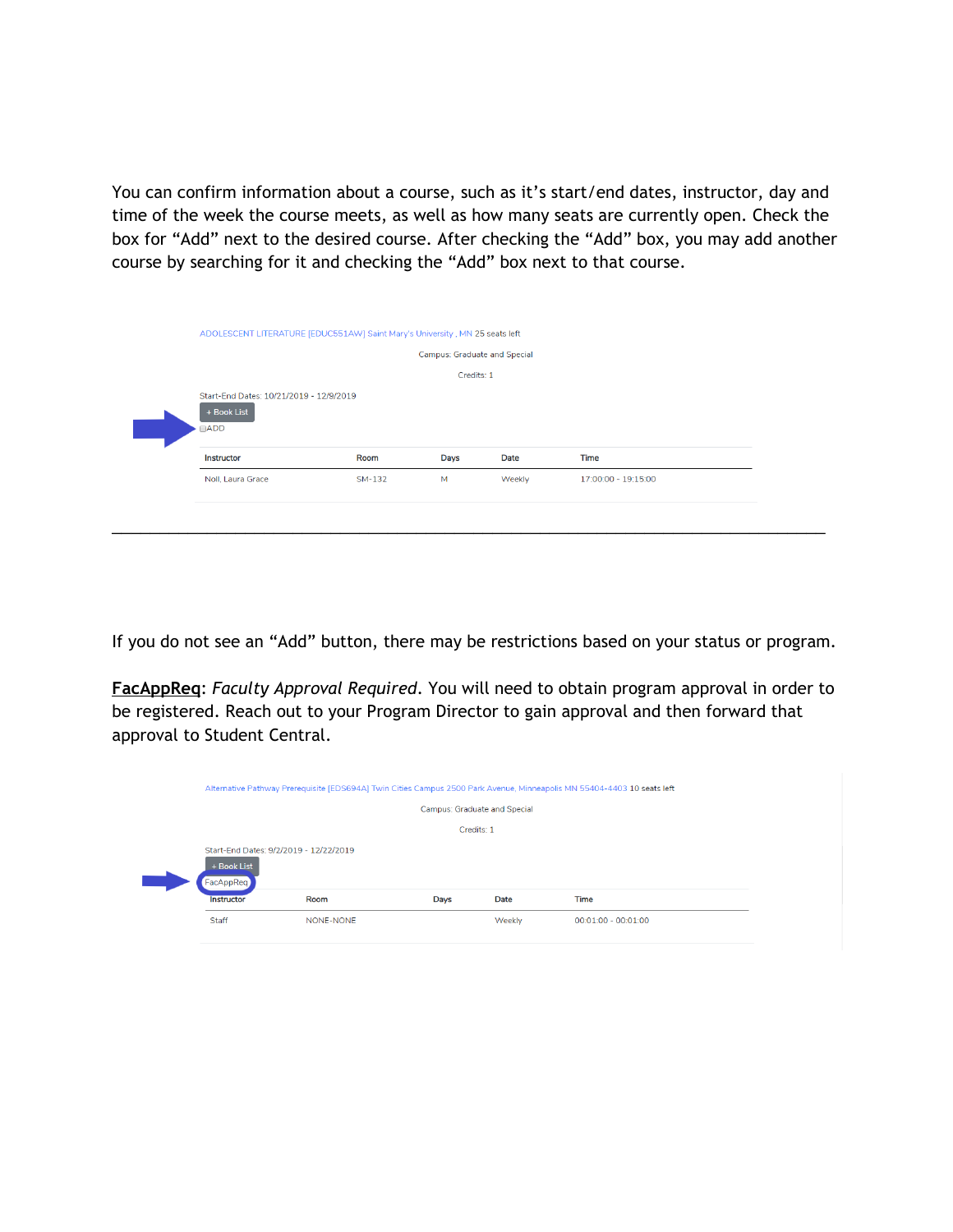You can confirm information about a course, such as it's start/end dates, instructor, day and time of the week the course meets, as well as how many seats are currently open. Check the box for "Add" next to the desired course. After checking the "Add" box, you may add another course by searching for it and checking the "Add" box next to that course.

| ADOLESCENT LITERATURE [EDUC551AW] Saint Mary's University, MN 25 seats left |        |                              |             |                     |  |
|-----------------------------------------------------------------------------|--------|------------------------------|-------------|---------------------|--|
|                                                                             |        | Campus: Graduate and Special |             |                     |  |
|                                                                             |        | Credits: 1                   |             |                     |  |
| Start-End Dates: 10/21/2019 - 12/9/2019<br>+ Book List                      |        |                              |             |                     |  |
| $\Box$ ADD<br>Instructor                                                    | Room   | <b>Days</b>                  | <b>Date</b> | <b>Time</b>         |  |
| Noll, Laura Grace                                                           | SM-132 | M                            | Weekly      | 17:00:00 - 19:15:00 |  |

If you do not see an "Add" button, there may be restrictions based on your status or program.

**FacAppReq**: *Faculty Approval Required*. You will need to obtain program approval in order to be registered. Reach out to your Program Director to gain approval and then forward that approval to Student Central.

|                                                                    |           |                              |             | Alternative Pathway Prerequisite [EDS694A] Twin Cities Campus 2500 Park Avenue, Minneapolis MN 55404-4403 10 seats left |  |
|--------------------------------------------------------------------|-----------|------------------------------|-------------|-------------------------------------------------------------------------------------------------------------------------|--|
|                                                                    |           | Campus: Graduate and Special |             |                                                                                                                         |  |
|                                                                    |           | Credits: 1                   |             |                                                                                                                         |  |
| Start-End Dates: 9/2/2019 - 12/22/2019<br>+ Book List<br>FacAppReq |           |                              |             |                                                                                                                         |  |
| <b>Instructor</b>                                                  | Room      | Days                         | <b>Date</b> | <b>Time</b>                                                                                                             |  |
| Staff                                                              | NONE-NONE |                              | Weekly      | $00:01:00 - 00:01:00$                                                                                                   |  |